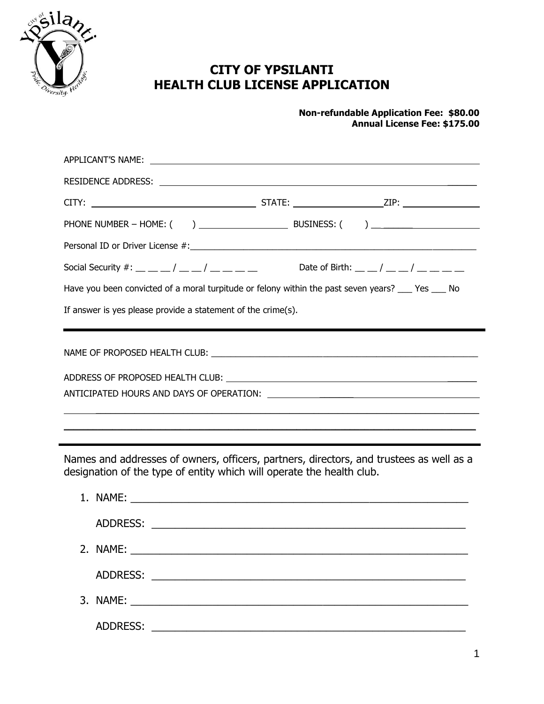

 $\blacksquare$ 

# **CITY OF YPSILANTI HEALTH CLUB LICENSE APPLICATION**

#### **Non-refundable Application Fee: \$80.00 Annual License Fee: \$175.00**

| Social Security #: __ __ _/ __ _/ __ __ _ __ Date of Birth: __ _/ __ _/ __ __ __ _                                                                               |  |  |  |  |
|------------------------------------------------------------------------------------------------------------------------------------------------------------------|--|--|--|--|
| Have you been convicted of a moral turpitude or felony within the past seven years? ___ Yes ___ No                                                               |  |  |  |  |
| If answer is yes please provide a statement of the crime(s).                                                                                                     |  |  |  |  |
|                                                                                                                                                                  |  |  |  |  |
| ADDRESS OF PROPOSED HEALTH CLUB: \\contact \\contact \\contact \\contact \\contact \\contact \\contact \\conta                                                   |  |  |  |  |
|                                                                                                                                                                  |  |  |  |  |
|                                                                                                                                                                  |  |  |  |  |
|                                                                                                                                                                  |  |  |  |  |
| Names and addresses of owners, officers, partners, directors, and trustees as well as a<br>designation of the type of entity which will operate the health club. |  |  |  |  |

| ADDRESS:<br><u> 1980 - John Stein, mars and de British and de British and de British and de British and de British and de Br</u> |
|----------------------------------------------------------------------------------------------------------------------------------|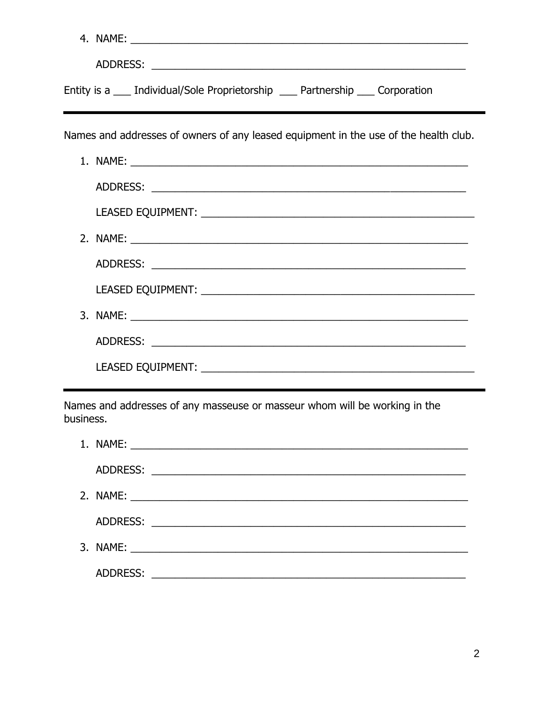|           | Entity is a ____ Individual/Sole Proprietorship ____ Partnership ____ Corporation    |
|-----------|--------------------------------------------------------------------------------------|
|           | Names and addresses of owners of any leased equipment in the use of the health club. |
|           |                                                                                      |
|           |                                                                                      |
|           |                                                                                      |
|           |                                                                                      |
|           |                                                                                      |
|           |                                                                                      |
|           |                                                                                      |
|           |                                                                                      |
|           |                                                                                      |
| business. | Names and addresses of any masseuse or masseur whom will be working in the           |
|           |                                                                                      |
|           |                                                                                      |
|           |                                                                                      |
|           |                                                                                      |
|           |                                                                                      |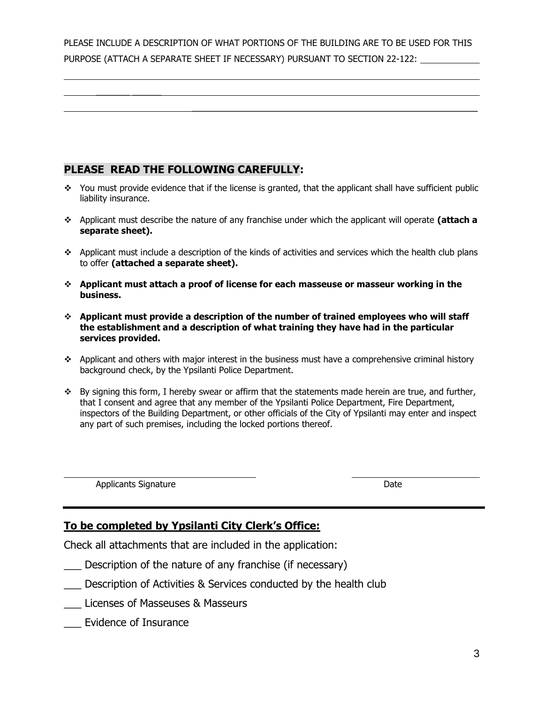PLEASE INCLUDE A DESCRIPTION OF WHAT PORTIONS OF THE BUILDING ARE TO BE USED FOR THIS PURPOSE (ATTACH A SEPARATE SHEET IF NECESSARY) PURSUANT TO SECTION 22-122:

 $\mathcal{L}_\text{max} = \mathcal{L}_\text{max} = \mathcal{L}_\text{max} = \mathcal{L}_\text{max} = \mathcal{L}_\text{max} = \mathcal{L}_\text{max} = \mathcal{L}_\text{max} = \mathcal{L}_\text{max} = \mathcal{L}_\text{max} = \mathcal{L}_\text{max} = \mathcal{L}_\text{max} = \mathcal{L}_\text{max} = \mathcal{L}_\text{max} = \mathcal{L}_\text{max} = \mathcal{L}_\text{max} = \mathcal{L}_\text{max} = \mathcal{L}_\text{max} = \mathcal{L}_\text{max} = \mathcal{$ 

# **PLEASE READ THE FOLLOWING CAREFULLY:**

 $\frac{1}{2}$ 

- $\bullet$  You must provide evidence that if the license is granted, that the applicant shall have sufficient public liability insurance.
- Applicant must describe the nature of any franchise under which the applicant will operate **(attach a separate sheet).**
- Applicant must include a description of the kinds of activities and services which the health club plans to offer **(attached a separate sheet).**
- **Applicant must attach a proof of license for each masseuse or masseur working in the business.**
- **Applicant must provide a description of the number of trained employees who will staff the establishment and a description of what training they have had in the particular services provided.**
- $\bullet$  Applicant and others with major interest in the business must have a comprehensive criminal history background check, by the Ypsilanti Police Department.
- By signing this form, I hereby swear or affirm that the statements made herein are true, and further, that I consent and agree that any member of the Ypsilanti Police Department, Fire Department, inspectors of the Building Department, or other officials of the City of Ypsilanti may enter and inspect any part of such premises, including the locked portions thereof.

Applicants Signature Date

## **To be completed by Ypsilanti City Clerk's Office:**

Check all attachments that are included in the application:

- \_\_\_ Description of the nature of any franchise (if necessary)
- \_\_\_ Description of Activities & Services conducted by the health club
- \_\_\_ Licenses of Masseuses & Masseurs
- \_\_\_ Evidence of Insurance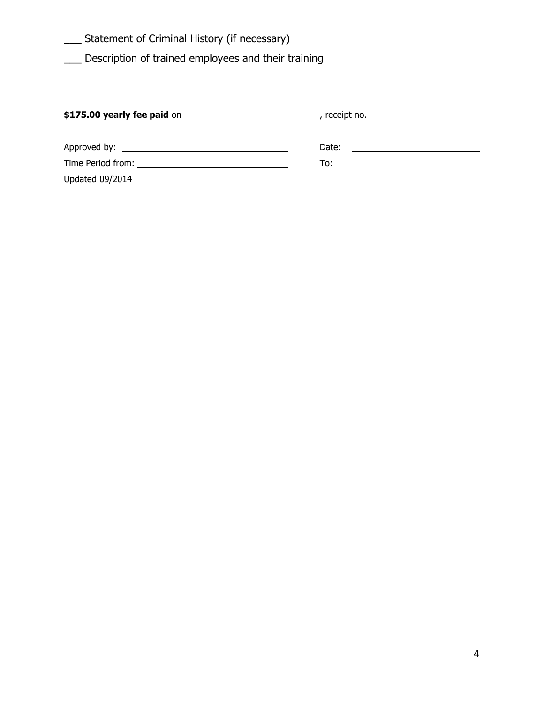\_\_\_ Statement of Criminal History (if necessary)

\_\_\_ Description of trained employees and their training

|                        | $\text{receiver no.}$ |
|------------------------|-----------------------|
|                        | Date:                 |
|                        | To:                   |
| <b>Updated 09/2014</b> |                       |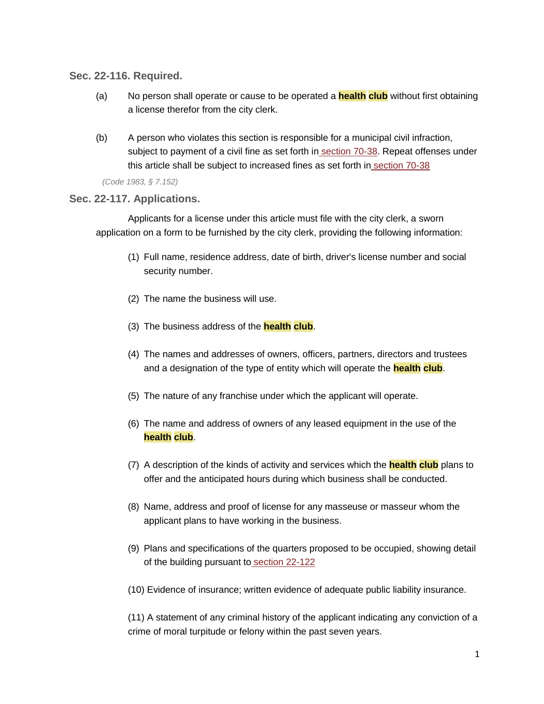**Sec. 22-116. Required.**

- (a) No person shall operate or cause to be operated a **health club** without first obtaining a license therefor from the city clerk.
- (b) A person who violates this section is responsible for a municipal civil infraction, subject to payment of a civil fine as set forth in [section](https://library.municode.com/HTML/13981/level3/PTIICOOR_CH70MUCIIN_ARTIIMUORVIBU.html#PTIICOOR_CH70MUCIIN_ARTIIMUORVIBU_S70-38SCCIFIES) 70-38. Repeat offenses under this article shall be subject to increased fines as set forth in [section](https://library.municode.com/HTML/13981/level3/PTIICOOR_CH70MUCIIN_ARTIIMUORVIBU.html#PTIICOOR_CH70MUCIIN_ARTIIMUORVIBU_S70-38SCCIFIES) 70-38

*(Code 1983, § 7.152)*

### **Sec. 22-117. Applications.**

Applicants for a license under this article must file with the city clerk, a sworn application on a form to be furnished by the city clerk, providing the following information:

- (1) Full name, residence address, date of birth, driver's license number and social security number.
- (2) The name the business will use.
- (3) The business address of the **health club**.
- (4) The names and addresses of owners, officers, partners, directors and trustees and a designation of the type of entity which will operate the **health club**.
- (5) The nature of any franchise under which the applicant will operate.
- (6) The name and address of owners of any leased equipment in the use of the **health club**.
- (7) A description of the kinds of activity and services which the **health club** plans to offer and the anticipated hours during which business shall be conducted.
- (8) Name, address and proof of license for any masseuse or masseur whom the applicant plans to have working in the business.
- (9) Plans and specifications of the quarters proposed to be occupied, showing detail of the building pursuant to [section](https://library.municode.com/HTML/13981/level4/PTIICOOR_CH22BU_ARTIVHECL_DIV2LI.html#PTIICOOR_CH22BU_ARTIVHECL_DIV2LI_S22-122BUSTRE) 22-122
- (10) Evidence of insurance; written evidence of adequate public liability insurance.

(11) A statement of any criminal history of the applicant indicating any conviction of a crime of moral turpitude or felony within the past seven years.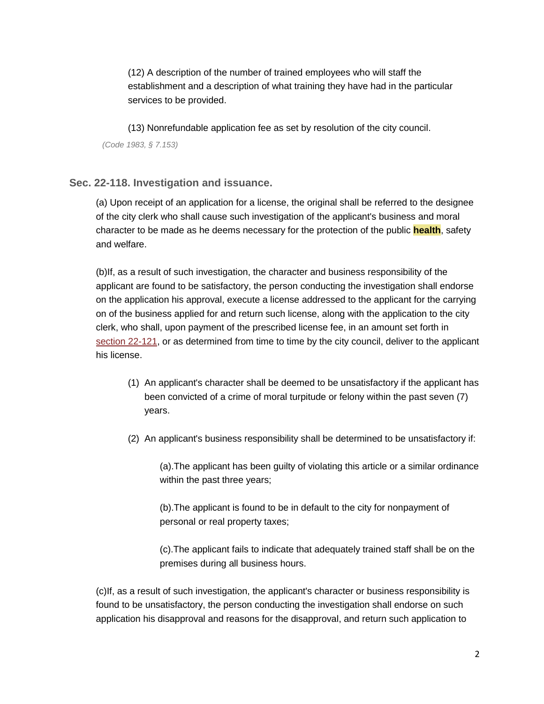(12) A description of the number of trained employees who will staff the establishment and a description of what training they have had in the particular services to be provided.

(13) Nonrefundable application fee as set by resolution of the city council. *(Code 1983, § 7.153)*

### **Sec. 22-118. Investigation and issuance.**

(a) Upon receipt of an application for a license, the original shall be referred to the designee of the city clerk who shall cause such investigation of the applicant's business and moral character to be made as he deems necessary for the protection of the public **health**, safety and welfare.

(b)If, as a result of such investigation, the character and business responsibility of the applicant are found to be satisfactory, the person conducting the investigation shall endorse on the application his approval, execute a license addressed to the applicant for the carrying on of the business applied for and return such license, along with the application to the city clerk, who shall, upon payment of the prescribed license fee, in an amount set forth i[n](https://library.municode.com/HTML/13981/level4/PTIICOOR_CH22BU_ARTIVHECL_DIV2LI.html#PTIICOOR_CH22BU_ARTIVHECL_DIV2LI_S22-121FE) section [22-121,](https://library.municode.com/HTML/13981/level4/PTIICOOR_CH22BU_ARTIVHECL_DIV2LI.html#PTIICOOR_CH22BU_ARTIVHECL_DIV2LI_S22-121FE) or as determined from time to time by the city council, deliver to the applicant his license.

- (1) An applicant's character shall be deemed to be unsatisfactory if the applicant has been convicted of a crime of moral turpitude or felony within the past seven (7) years.
- (2) An applicant's business responsibility shall be determined to be unsatisfactory if:

(a).The applicant has been guilty of violating this article or a similar ordinance within the past three years;

(b).The applicant is found to be in default to the city for nonpayment of personal or real property taxes;

(c).The applicant fails to indicate that adequately trained staff shall be on the premises during all business hours.

(c)If, as a result of such investigation, the applicant's character or business responsibility is found to be unsatisfactory, the person conducting the investigation shall endorse on such application his disapproval and reasons for the disapproval, and return such application to